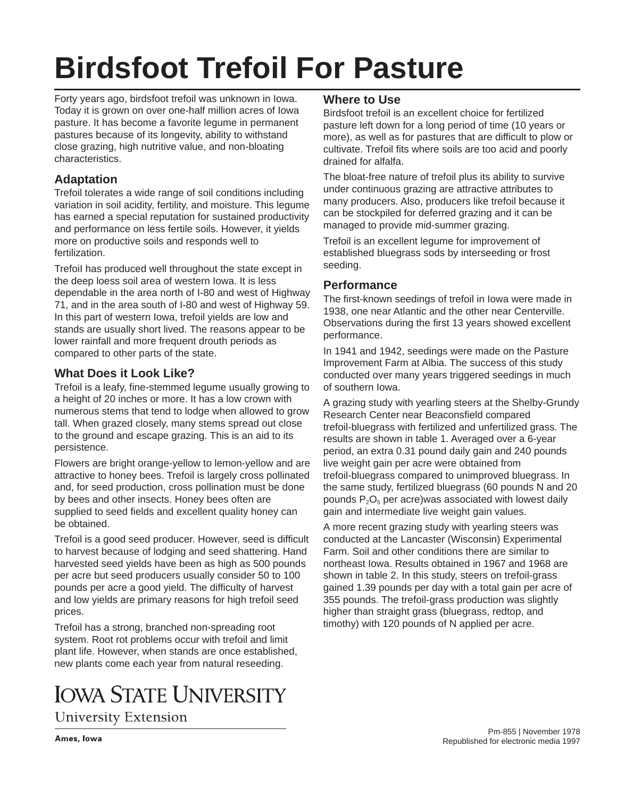# **Birdsfoot Trefoil For Pasture**

Forty years ago, birdsfoot trefoil was unknown in Iowa. Today it is grown on over one-half million acres of Iowa pasture. It has become a favorite legume in permanent pastures because of its longevity, ability to withstand close grazing, high nutritive value, and non-bloating characteristics.

# **Adaptation**

Trefoil tolerates a wide range of soil conditions including variation in soil acidity, fertility, and moisture. This legume has earned a special reputation for sustained productivity and performance on less fertile soils. However, it yields more on productive soils and responds well to fertilization.

TrefoiI has produced well throughout the state except in the deep loess soil area of western Iowa. It is less dependable in the area north of I-80 and west of Highway 71, and in the area south of I-80 and west of Highway 59. In this part of western Iowa, trefoil yields are low and stands are usually short lived. The reasons appear to be lower rainfall and more frequent drouth periods as compared to other parts of the state.

# **What Does it Look Like?**

Trefoil is a leafy, fine-stemmed legume usually growing to a height of 20 inches or more. It has a low crown with numerous stems that tend to lodge when allowed to grow tall. When grazed closely, many stems spread out close to the ground and escape grazing. This is an aid to its persistence.

Flowers are bright orange-yellow to lemon-yellow and are attractive to honey bees. Trefoil is largely cross pollinated and, for seed production, cross pollination must be done by bees and other insects. Honey bees often are supplied to seed fields and excellent quality honey can be obtained.

Trefoil is a good seed producer. However, seed is difficult to harvest because of lodging and seed shattering. Hand harvested seed yields have been as high as 500 pounds per acre but seed producers usually consider 50 to 100 pounds per acre a good yield. The difficulty of harvest and low yields are primary reasons for high trefoil seed prices.

Trefoil has a strong, branched non-spreading root system. Root rot problems occur with trefoil and limit plant life. However, when stands are once established, new plants come each year from natural reseeding.

# **IOWA STATE UNIVERSITY**

# **University Extension**

# **Where to Use**

Birdsfoot trefoil is an excellent choice for fertilized pasture left down for a long period of time (10 years or more), as well as for pastures that are difficult to plow or cultivate. Trefoil fits where soils are too acid and poorly drained for alfalfa.

The bloat-free nature of trefoil plus its ability to survive under continuous grazing are attractive attributes to many producers. Also, producers like trefoil because it can be stockpiled for deferred grazing and it can be managed to provide mid-summer grazing.

Trefoil is an excellent legume for improvement of established bluegrass sods by interseeding or frost seeding.

# **Performance**

The first-known seedings of trefoil in Iowa were made in 1938, one near Atlantic and the other near Centerville. Observations during the first 13 years showed excellent performance.

In 1941 and 1942, seedings were made on the Pasture Improvement Farm at Albia. The success of this study conducted over many years triggered seedings in much of southern Iowa.

A grazing study with yearling steers at the Shelby-Grundy Research Center near Beaconsfield compared trefoil-bluegrass with fertilized and unfertilized grass. The results are shown in table 1. Averaged over a 6-year period, an extra 0.31 pound daily gain and 240 pounds live weight gain per acre were obtained from trefoil-bluegrass compared to unimproved bluegrass. In the same study, fertilized bluegrass (60 pounds N and 20 pounds  $P_2O_5$  per acre)was associated with lowest daily gain and intermediate live weight gain values.

A more recent grazing study with yearling steers was conducted at the Lancaster (Wisconsin) Experimental Farm. Soil and other conditions there are similar to northeast Iowa. Results obtained in 1967 and 1968 are shown in table 2. In this study, steers on trefoil-grass gained 1.39 pounds per day with a total gain per acre of 355 pounds. The trefoil-grass production was slightly higher than straight grass (bluegrass, redtop, and timothy) with 120 pounds of N applied per acre.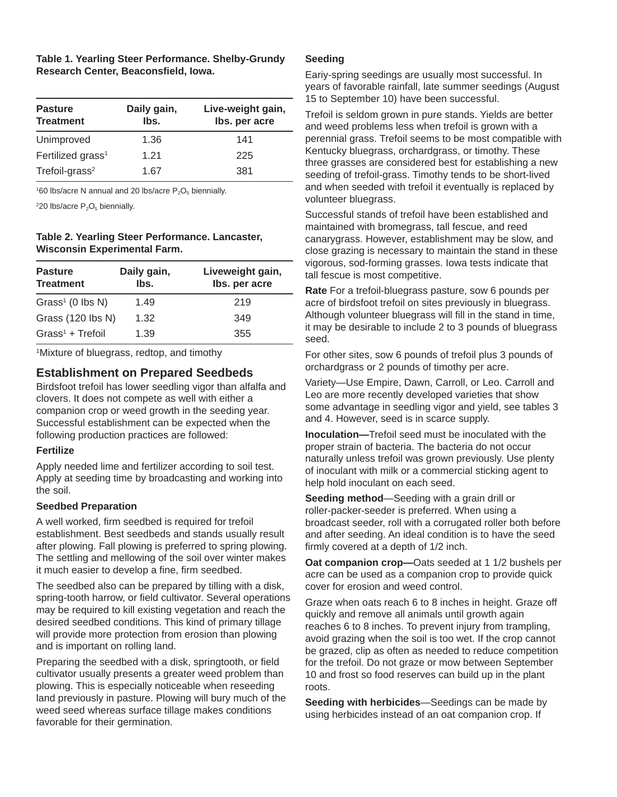| Table 1. Yearling Steer Performance. Shelby-Grundy |
|----------------------------------------------------|
| Research Center, Beaconsfield, Iowa.               |

| <b>Pasture</b><br><b>Treatment</b> | Daily gain,<br>lbs. | Live-weight gain,<br>Ibs. per acre |
|------------------------------------|---------------------|------------------------------------|
| Unimproved                         | 1.36                | 141                                |
| Fertilized grass <sup>1</sup>      | 1.21                | 225                                |
| Trefoil-grass <sup>2</sup>         | 1.67                | 381                                |

 $160$  lbs/acre N annual and 20 lbs/acre  $P_2O_5$  biennially.

 $220$  lbs/acre  $P_2O_5$  biennially.

## **Table 2. Yearling Steer Performance. Lancaster, Wisconsin Experimental Farm.**

| <b>Pasture</b><br><b>Treatment</b> | Daily gain,<br>lbs. | Liveweight gain,<br>Ibs. per acre |
|------------------------------------|---------------------|-----------------------------------|
| Grass <sup>1</sup> (0 lbs N)       | 1.49                | 219                               |
| Grass (120 lbs N)                  | 1.32                | 349                               |
| $Grass1 + Trefoil$                 | 1.39                | 355                               |

1 Mixture of bluegrass, redtop, and timothy

# **Establishment on Prepared Seedbeds**

Birdsfoot trefoil has lower seedling vigor than alfalfa and clovers. It does not compete as well with either a companion crop or weed growth in the seeding year. Successful establishment can be expected when the following production practices are followed:

#### **Fertilize**

Apply needed lime and fertilizer according to soil test. Apply at seeding time by broadcasting and working into the soil.

## **Seedbed Preparation**

A well worked, firm seedbed is required for trefoil establishment. Best seedbeds and stands usually result after plowing. Fall plowing is preferred to spring plowing. The settling and mellowing of the soil over winter makes it much easier to develop a fine, firm seedbed.

The seedbed also can be prepared by tilling with a disk, spring-tooth harrow, or field cultivator. Several operations may be required to kill existing vegetation and reach the desired seedbed conditions. This kind of primary tillage will provide more protection from erosion than plowing and is important on rolling land.

Preparing the seedbed with a disk, springtooth, or field cultivator usually presents a greater weed problem than plowing. This is especially noticeable when reseeding land previously in pasture. Plowing will bury much of the weed seed whereas surface tillage makes conditions favorable for their germination.

#### **Seeding**

Eariy-spring seedings are usually most successful. In years of favorable rainfall, late summer seedings (August 15 to September 10) have been successful.

Trefoil is seldom grown in pure stands. Yields are better and weed problems less when trefoil is grown with a perennial grass. Trefoil seems to be most compatible with Kentucky bluegrass, orchardgrass, or timothy. These three grasses are considered best for establishing a new seeding of trefoil-grass. Timothy tends to be short-lived and when seeded with trefoil it eventually is replaced by volunteer bluegrass.

Successful stands of trefoil have been established and maintained with bromegrass, tall fescue, and reed canarygrass. However, establishment may be slow, and close grazing is necessary to maintain the stand in these vigorous, sod-forming grasses. Iowa tests indicate that tall fescue is most competitive.

**Rate** For a trefoil-bluegrass pasture, sow 6 pounds per acre of birdsfoot trefoil on sites previously in bluegrass. Although volunteer bluegrass will fill in the stand in time, it may be desirable to include 2 to 3 pounds of bluegrass seed.

For other sites, sow 6 pounds of trefoil plus 3 pounds of orchardgrass or 2 pounds of timothy per acre.

Variety—Use Empire, Dawn, Carroll, or Leo. Carroll and Leo are more recently developed varieties that show some advantage in seedling vigor and yield, see tables 3 and 4. However, seed is in scarce supply.

**Inoculation—**Trefoil seed must be inoculated with the proper strain of bacteria. The bacteria do not occur naturally unless trefoil was grown previously. Use plenty of inoculant with milk or a commercial sticking agent to help hold inoculant on each seed.

**Seeding method**—Seeding with a grain drill or roller-packer-seeder is preferred. When using a broadcast seeder, roll with a corrugated roller both before and after seeding. An ideal condition is to have the seed firmly covered at a depth of 1/2 inch.

**Oat companion crop-Oats seeded at 1 1/2 bushels per** acre can be used as a companion crop to provide quick cover for erosion and weed control.

Graze when oats reach 6 to 8 inches in height. Graze off quickly and remove all animals until growth again reaches 6 to 8 inches. To prevent injury from trampling, avoid grazing when the soil is too wet. If the crop cannot be grazed, clip as often as needed to reduce competition for the trefoil. Do not graze or mow between September 10 and frost so food reserves can build up in the plant roots.

**Seeding with herbicides**—Seedings can be made by using herbicides instead of an oat companion crop. If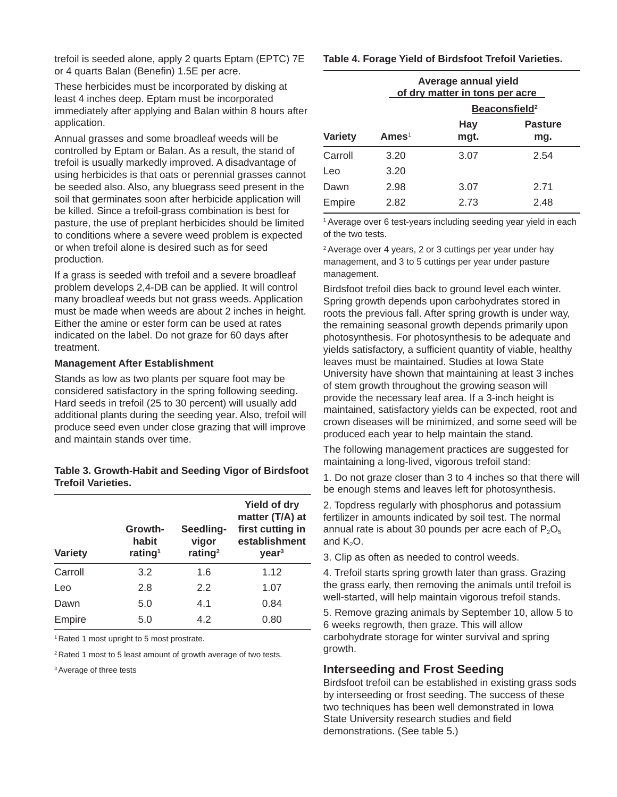trefoil is seeded alone, apply 2 quarts Eptam (EPTC) 7E or 4 quarts Balan (Benefin) 1.5E per acre.

These herbicides must be incorporated by disking at least 4 inches deep. Eptam must be incorporated immediately after applying and Balan within 8 hours after application.

Annual grasses and some broadleaf weeds will be controlled by Eptam or Balan. As a result, the stand of trefoil is usually markedly improved. A disadvantage of using herbicides is that oats or perennial grasses cannot be seeded also. Also, any bluegrass seed present in the soil that germinates soon after herbicide application will be killed. Since a trefoil-grass combination is best for pasture, the use of preplant herbicides should be limited to conditions where a severe weed problem is expected or when trefoil alone is desired such as for seed production.

If a grass is seeded with trefoil and a severe broadleaf problem develops 2,4-DB can be applied. It will control many broadleaf weeds but not grass weeds. Application must be made when weeds are about 2 inches in height. Either the amine or ester form can be used at rates indicated on the label. Do not graze for 60 days after treatment.

#### **Management After Establishment**

Stands as low as two plants per square foot may be considered satisfactory in the spring following seeding. Hard seeds in trefoil (25 to 30 percent) will usually add additional plants during the seeding year. Also, trefoil will produce seed even under close grazing that will improve and maintain stands over time.

#### **Table 3. Growth-Habit and Seeding Vigor of Birdsfoot Trefoil Varieties.**

| <b>Variety</b> | Growth-<br>habit<br>rating <sup>1</sup> | Seedling-<br>vigor<br>rating <sup>2</sup> | <b>Yield of dry</b><br>matter (T/A) at<br>first cutting in<br>establishment<br>year <sup>3</sup> |
|----------------|-----------------------------------------|-------------------------------------------|--------------------------------------------------------------------------------------------------|
| Carroll        | 3.2                                     | 1.6                                       | 1.12                                                                                             |
| Leo            | 2.8                                     | 2.2                                       | 1.07                                                                                             |
| Dawn           | 5.0                                     | 4.1                                       | 0.84                                                                                             |
| Empire         | 5.0                                     | 4.2                                       | 0.80                                                                                             |

<sup>1</sup> Rated 1 most upright to 5 most prostrate.

2 Rated 1 most to 5 least amount of growth average of two tests.

3 Average of three tests

#### **Table 4. Forage Yield of Birdsfoot Trefoil Varieties.**

|                | Average annual yield<br>of dry matter in tons per acre<br>Beaconsfield <sup>2</sup> |                    |                       |  |
|----------------|-------------------------------------------------------------------------------------|--------------------|-----------------------|--|
| <b>Variety</b> | Ames <sup>1</sup>                                                                   | <b>Hay</b><br>mgt. | <b>Pasture</b><br>mg. |  |
| Carroll        | 3.20                                                                                | 3.07               | 2.54                  |  |
| Leo            | 3.20                                                                                |                    |                       |  |
| Dawn           | 2.98                                                                                | 3.07               | 2.71                  |  |
| Empire         | 2.82                                                                                | 2.73               | 2.48                  |  |

<sup>1</sup> Average over 6 test-years including seeding year yield in each of the two tests.

2 Average over 4 years, 2 or 3 cuttings per year under hay management, and 3 to 5 cuttings per year under pasture management.

Birdsfoot trefoil dies back to ground level each winter. Spring growth depends upon carbohydrates stored in roots the previous fall. After spring growth is under way, the remaining seasonal growth depends primarily upon photosynthesis. For photosynthesis to be adequate and yields satisfactory, a sufficient quantity of viable, healthy leaves must be maintained. Studies at Iowa State University have shown that maintaining at least 3 inches of stem growth throughout the growing season will provide the necessary leaf area. If a 3-inch height is maintained, satisfactory yields can be expected, root and crown diseases will be minimized, and some seed will be produced each year to help maintain the stand.

The following management practices are suggested for maintaining a long-lived, vigorous trefoil stand:

1. Do not graze closer than 3 to 4 inches so that there will be enough stems and leaves left for photosynthesis.

2. Topdress regularly with phosphorus and potassium fertilizer in amounts indicated by soil test. The normal annual rate is about 30 pounds per acre each of  $P_2O_5$ and  $K<sub>2</sub>O$ .

3. Clip as often as needed to control weeds.

4. Trefoil starts spring growth later than grass. Grazing the grass early, then removing the animals until trefoil is well-started, will help maintain vigorous trefoil stands.

5. Remove grazing animals by September 10, allow 5 to 6 weeks regrowth, then graze. This will allow carbohydrate storage for winter survival and spring growth.

## **Interseeding and Frost Seeding**

Birdsfoot trefoil can be established in existing grass sods by interseeding or frost seeding. The success of these two techniques has been well demonstrated in Iowa State University research studies and field demonstrations. (See table 5.)